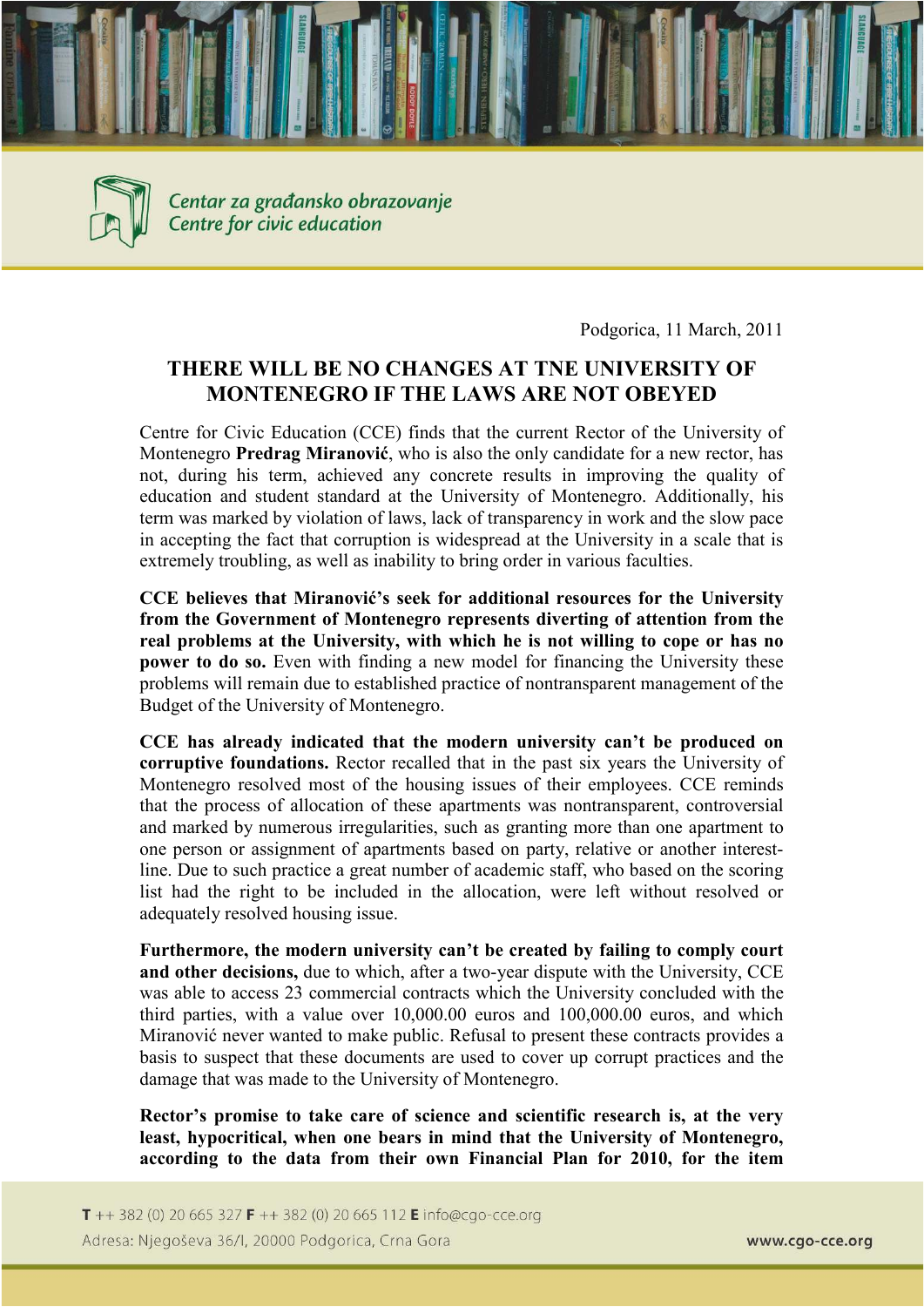



Centar za građansko obrazovanje Centre for civic education

Podgorica, 11 March, 2011

## **THERE WILL BE NO CHANGES AT TNE UNIVERSITY OF MO TE EGRO IF THE LAWS ARE OT OBEYED**

Centre for Civic Education (CCE) finds that the current Rector of the University of Montenegro **Predrag Miranović**, who is also the only candidate for a new rector, has not, during his term, achieved any concrete results in improving the quality of education and student standard at the University of Montenegro. Additionally, his term was marked by violation of laws, lack of transparency in work and the slow pace in accepting the fact that corruption is widespread at the University in a scale that is extremely troubling, as well as inability to bring order in various faculties.

**CCE believes that Miranović's seek for additional resources for the University from the Government of Montenegro represents diverting of attention from the real problems at the University, with which he is not willing to cope or has no power to do so.** Even with finding a new model for financing the University these problems will remain due to established practice of nontransparent management of the Budget of the University of Montenegro.

**CCE has already indicated that the modern university can't be produced on corruptive foundations.** Rector recalled that in the past six years the University of Montenegro resolved most of the housing issues of their employees. CCE reminds that the process of allocation of these apartments was nontransparent, controversial and marked by numerous irregularities, such as granting more than one apartment to one person or assignment of apartments based on party, relative or another interestline. Due to such practice a great number of academic staff, who based on the scoring list had the right to be included in the allocation, were left without resolved or adequately resolved housing issue.

**Furthermore, the modern university can't be created by failing to comply court and other decisions,** due to which, after a two-year dispute with the University, CCE was able to access 23 commercial contracts which the University concluded with the third parties, with a value over 10,000.00 euros and 100,000.00 euros, and which Miranović never wanted to make public. Refusal to present these contracts provides a basis to suspect that these documents are used to cover up corrupt practices and the damage that was made to the University of Montenegro.

**Rector's promise to take care of science and scientific research is, at the very least, hypocritical, when one bears in mind that the University of Montenegro, according to the data from their own Financial Plan for 2010, for the item**